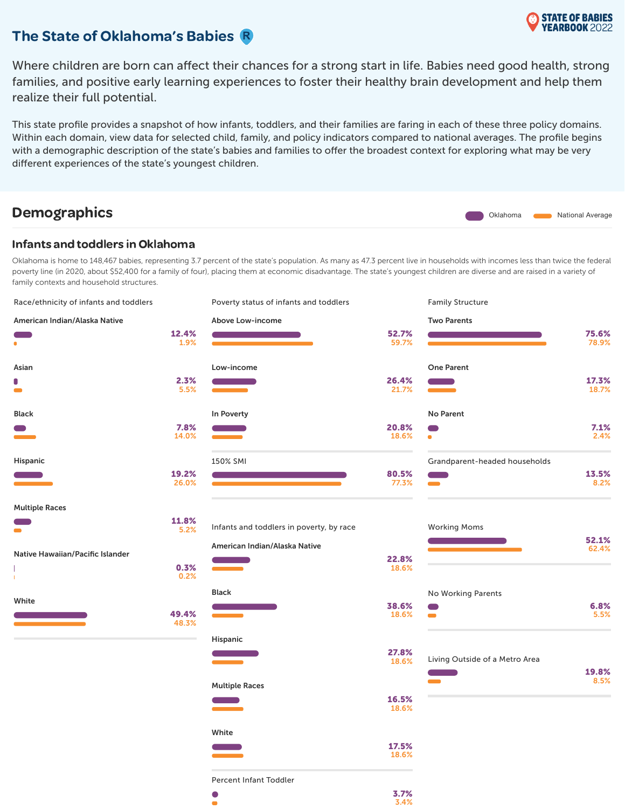

### The State of Oklahoma's Babies R

Where children are born can affect their chances for a strong start in life. Babies need good health, strong families, and positive early learning experiences to foster their healthy brain development and help them realize their full potential.

This state profile provides a snapshot of how infants, toddlers, and their families are faring in each of these three policy domains. Within each domain, view data for selected child, family, and policy indicators compared to national averages. The profile begins with a demographic description of the state's babies and families to offer the broadest context for exploring what may be very different experiences of the state's youngest children.

# **Demographics** National Average National Average

#### Infants and toddlers in Oklahoma

Oklahoma is home to 148,467 babies, representing 3.7 percent of the state's population. As many as 47.3 percent live in households with incomes less than twice the federal poverty line (in 2020, about \$52,400 for a family of four), placing them at economic disadvantage. The state's youngest children are diverse and are raised in a variety of family contexts and household structures.

| Race/ethnicity of infants and toddlers |                | Poverty status of infants and toddlers   |                | <b>Family Structure</b>          |                |
|----------------------------------------|----------------|------------------------------------------|----------------|----------------------------------|----------------|
| American Indian/Alaska Native          |                | Above Low-income                         |                | <b>Two Parents</b>               |                |
| $\bullet$                              | 12.4%<br>1.9%  |                                          | 52.7%<br>59.7% |                                  | 75.6%<br>78.9% |
| Asian                                  |                | Low-income                               |                | <b>One Parent</b>                |                |
| 0<br>$\bullet$                         | 2.3%<br>5.5%   |                                          | 26.4%<br>21.7% |                                  | 17.3%<br>18.7% |
| Black                                  |                | In Poverty                               |                | No Parent                        |                |
|                                        | 7.8%<br>14.0%  |                                          | 20.8%<br>18.6% | $\blacksquare$<br>$\bullet$      | 7.1%<br>2.4%   |
| Hispanic                               |                | 150% SMI                                 |                | Grandparent-headed households    |                |
|                                        | 19.2%<br>26.0% |                                          | 80.5%<br>77.3% | Œ<br>$\overline{\phantom{a}}$    | 13.5%<br>8.2%  |
| <b>Multiple Races</b>                  |                |                                          |                |                                  |                |
| $\blacksquare$                         | 11.8%<br>5.2%  | Infants and toddlers in poverty, by race |                | <b>Working Moms</b>              |                |
| Native Hawaiian/Pacific Islander       |                | American Indian/Alaska Native            |                |                                  | 52.1%<br>62.4% |
|                                        | 0.3%<br>0.2%   |                                          | 22.8%<br>18.6% |                                  |                |
|                                        |                | <b>Black</b>                             |                | No Working Parents               |                |
| White                                  | 49.4%<br>48.3% |                                          | 38.6%<br>18.6% | Œ<br>$\blacksquare$              | 6.8%<br>5.5%   |
|                                        |                | Hispanic                                 |                |                                  |                |
|                                        |                |                                          | 27.8%<br>18.6% | Living Outside of a Metro Area   | 19.8%          |
|                                        |                | <b>Multiple Races</b>                    |                | <b>Contract Contract Service</b> | 8.5%           |
|                                        |                |                                          | 16.5%<br>18.6% |                                  |                |
|                                        |                | White                                    |                |                                  |                |
|                                        |                |                                          | 17.5%<br>18.6% |                                  |                |
|                                        |                | Percent Infant Toddler                   |                |                                  |                |
|                                        |                | $\bullet$                                | 3.7%           |                                  |                |

ö

3.4%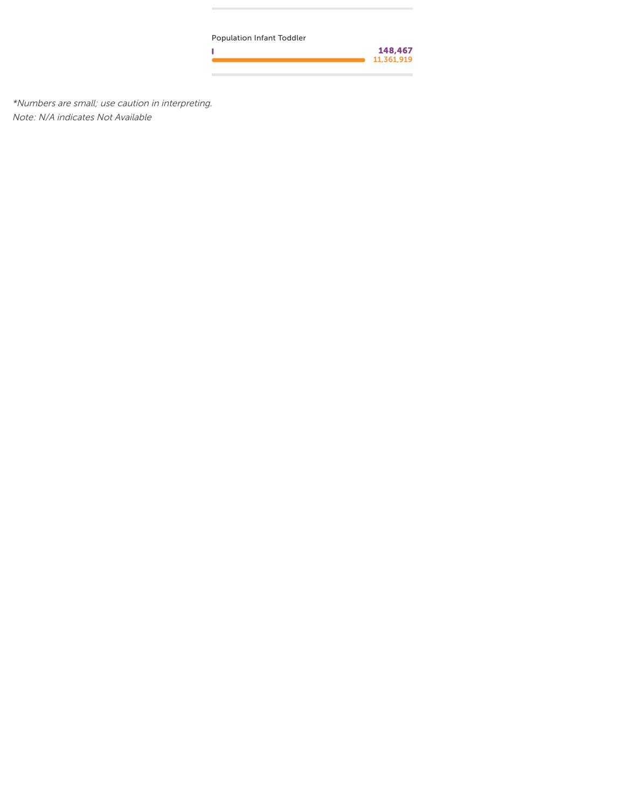Population Infant Toddler

Ï

148,467 11,361,919

\*Numbers are small; use caution in interpreting. Note: N/A indicates Not Available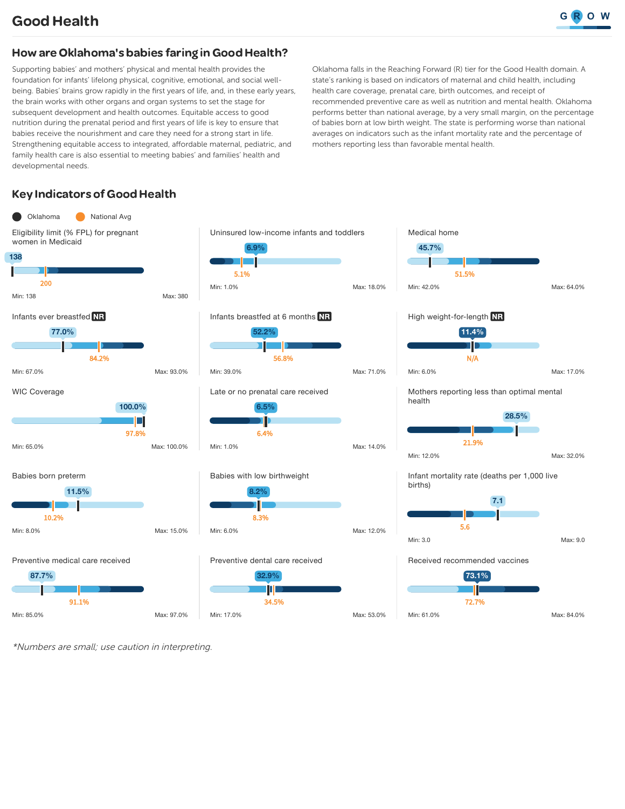### How are Oklahoma's babies faring in Good Health?

Supporting babies' and mothers' physical and mental health provides the foundation for infants' lifelong physical, cognitive, emotional, and social wellbeing. Babies' brains grow rapidly in the first years of life, and, in these early years, the brain works with other organs and organ systems to set the stage for subsequent development and health outcomes. Equitable access to good nutrition during the prenatal period and first years of life is key to ensure that babies receive the nourishment and care they need for a strong start in life. Strengthening equitable access to integrated, affordable maternal, pediatric, and family health care is also essential to meeting babies' and families' health and developmental needs.

Oklahoma falls in the Reaching Forward (R) tier for the Good Health domain. A state's ranking is based on indicators of maternal and child health, including health care coverage, prenatal care, birth outcomes, and receipt of recommended preventive care as well as nutrition and mental health. Oklahoma performs better than national average, by a very small margin, on the percentage of babies born at low birth weight. The state is performing worse than national averages on indicators such as the infant mortality rate and the percentage of mothers reporting less than favorable mental health.

Medical home

### **Key Indicators of Good Health**





Babies with low birthweight



#### Preventive dental care received







\*Numbers are small; use caution in interpreting.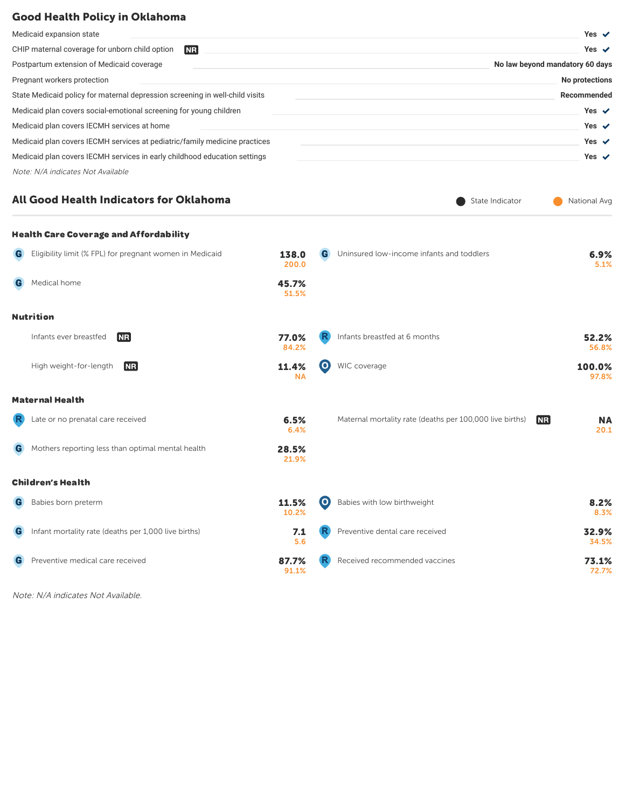#### Good Health Policy in Oklahoma

| Medicaid expansion state                                                     | Yes $\checkmark$                |
|------------------------------------------------------------------------------|---------------------------------|
| CHIP maternal coverage for unborn child option<br><b>NR</b>                  | Yes $\checkmark$                |
| Postpartum extension of Medicaid coverage                                    | No law beyond mandatory 60 days |
| Pregnant workers protection                                                  | No protections                  |
| State Medicaid policy for maternal depression screening in well-child visits | Recommended                     |
| Medicaid plan covers social-emotional screening for young children           | Yes $\checkmark$                |
| Medicaid plan covers IECMH services at home                                  | Yes $\checkmark$                |
| Medicaid plan covers IECMH services at pediatric/family medicine practices   | Yes $\checkmark$                |
| Medicaid plan covers IECMH services in early childhood education settings    | Yes $\checkmark$                |
| Note: N/A indicates Not Available                                            |                                 |
|                                                                              |                                 |

State Indicator National Avg

### All Good Health Indicators for Oklahoma

|             | <b>Health Care Coverage and Affordability</b>              |                    |                   |                                                                       |                   |
|-------------|------------------------------------------------------------|--------------------|-------------------|-----------------------------------------------------------------------|-------------------|
|             | G Eligibility limit (% FPL) for pregnant women in Medicaid | 138.0<br>200.0     | G                 | Uninsured low-income infants and toddlers                             | 6.9%<br>5.1%      |
| G           | Medical home                                               | 45.7%<br>51.5%     |                   |                                                                       |                   |
|             | <b>Nutrition</b>                                           |                    |                   |                                                                       |                   |
|             | Infants ever breastfed<br><b>INR</b>                       | 77.0%<br>84.2%     | R                 | Infants breastfed at 6 months                                         | 52.2%<br>56.8%    |
|             | High weight-for-length<br><b>INR</b>                       | 11.4%<br><b>NA</b> | (O)               | WIC coverage                                                          | 100.0%<br>97.8%   |
|             | <b>Maternal Health</b>                                     |                    |                   |                                                                       |                   |
| $\mathbb R$ | Late or no prenatal care received                          | 6.5%<br>6.4%       |                   | Maternal mortality rate (deaths per 100,000 live births)<br><b>NR</b> | <b>NA</b><br>20.1 |
| G           | Mothers reporting less than optimal mental health          | 28.5%<br>21.9%     |                   |                                                                       |                   |
|             | <b>Children's Health</b>                                   |                    |                   |                                                                       |                   |
| G           | Babies born preterm                                        | 11.5%<br>10.2%     | $\mathbf{\Theta}$ | Babies with low birthweight                                           | 8.2%<br>8.3%      |
| G           | Infant mortality rate (deaths per 1,000 live births)       | 7.1<br>5.6         |                   | Preventive dental care received                                       | 32.9%<br>34.5%    |
| G           | Preventive medical care received                           | 87.7%<br>91.1%     |                   | Received recommended vaccines                                         | 73.1%<br>72.7%    |
|             |                                                            |                    |                   |                                                                       |                   |

Note: N/A indicates Not Available.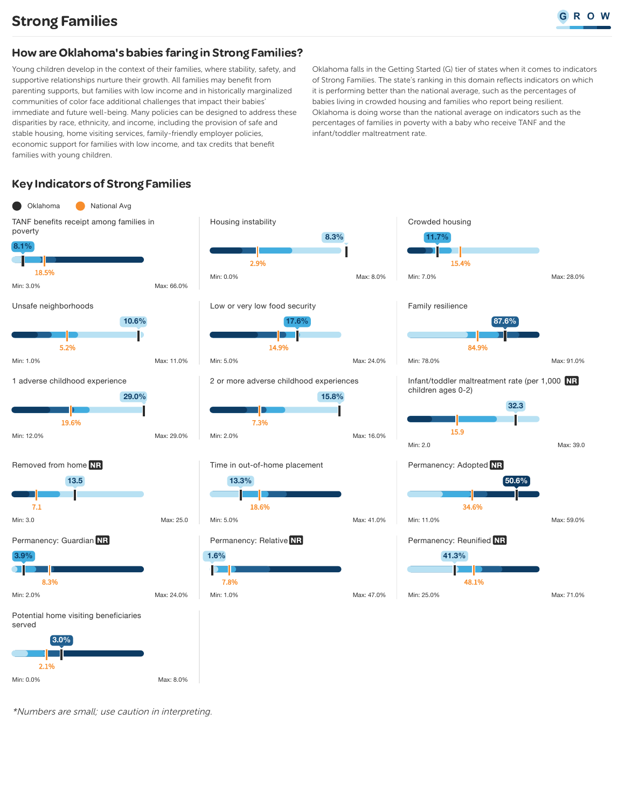### How are Oklahoma's babies faring in Strong Families?

Young children develop in the context of their families, where stability, safety, and supportive relationships nurture their growth. All families may benefit from parenting supports, but families with low income and in historically marginalized communities of color face additional challenges that impact their babies' immediate and future well-being. Many policies can be designed to address these disparities by race, ethnicity, and income, including the provision of safe and stable housing, home visiting services, family-friendly employer policies, economic support for families with low income, and tax credits that benefit families with young children.

Oklahoma falls in the Getting Started (G) tier of states when it comes to indicators of Strong Families. The state's ranking in this domain reflects indicators on which it is performing better than the national average, such as the percentages of babies living in crowded housing and families who report being resilient. Oklahoma is doing worse than the national average on indicators such as the percentages of families in poverty with a baby who receive TANF and the infant/toddler maltreatment rate.

# Key Indicators of Strong Families



\*Numbers are small; use caution in interpreting.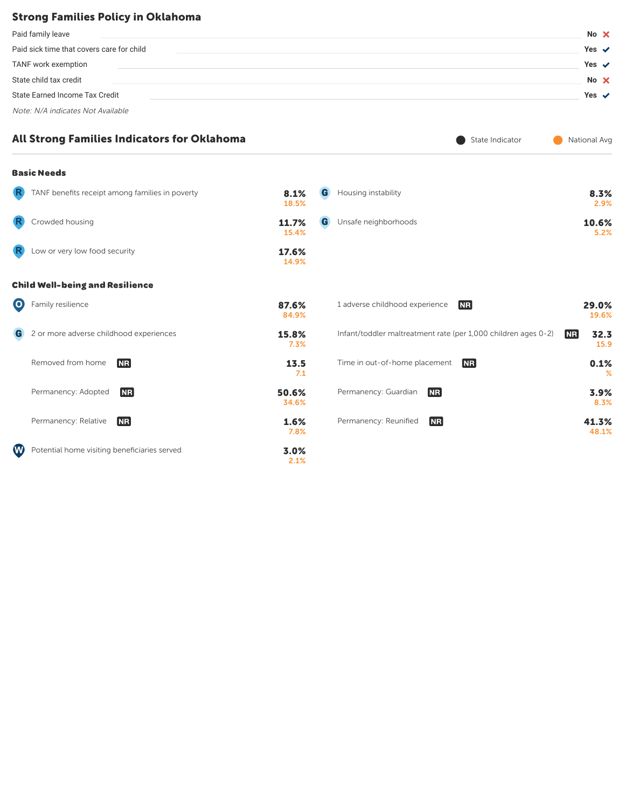### Strong Families Policy in Oklahoma

| Paid family leave                         | No $\times$      |
|-------------------------------------------|------------------|
| Paid sick time that covers care for child | Yes $\checkmark$ |
| TANF work exemption                       | Yes $\checkmark$ |
| State child tax credit                    | No X             |
| State Earned Income Tax Credit            | Yes $\checkmark$ |
| Note: N/A indicates Not Available         |                  |

|    | All Strong Families Indicators for Oklahoma     |                |   | State Indicator                                                |           | National Avg   |
|----|-------------------------------------------------|----------------|---|----------------------------------------------------------------|-----------|----------------|
|    | <b>Basic Needs</b>                              |                |   |                                                                |           |                |
| R. | TANF benefits receipt among families in poverty | 8.1%<br>18.5%  | G | Housing instability                                            |           | 8.3%<br>2.9%   |
|    | Crowded housing                                 | 11.7%<br>15.4% | G | Unsafe neighborhoods                                           |           | 10.6%<br>5.2%  |
|    | Low or very low food security                   | 17.6%<br>14.9% |   |                                                                |           |                |
|    | <b>Child Well-being and Resilience</b>          |                |   |                                                                |           |                |
| 0) | Family resilience                               | 87.6%<br>84.9% |   | 1 adverse childhood experience<br><b>NR</b>                    |           | 29.0%<br>19.6% |
| G  | 2 or more adverse childhood experiences         | 15.8%<br>7.3%  |   | Infant/toddler maltreatment rate (per 1,000 children ages 0-2) | <b>NR</b> | 32.3<br>15.9   |
|    | Removed from home<br><b>NR</b>                  | 13.5<br>7.1    |   | Time in out-of-home placement<br><b>NR</b>                     |           | 0.1%<br>℅      |
|    | Permanency: Adopted<br><b>NR</b>                | 50.6%<br>34.6% |   | Permanency: Guardian<br><b>NR</b>                              |           | 3.9%<br>8.3%   |
|    | Permanency: Relative<br><b>NR</b>               | 1.6%<br>7.8%   |   | Permanency: Reunified<br><b>NR</b>                             |           | 41.3%<br>48.1% |
| W  | Potential home visiting beneficiaries served    | 3.0%<br>2.1%   |   |                                                                |           |                |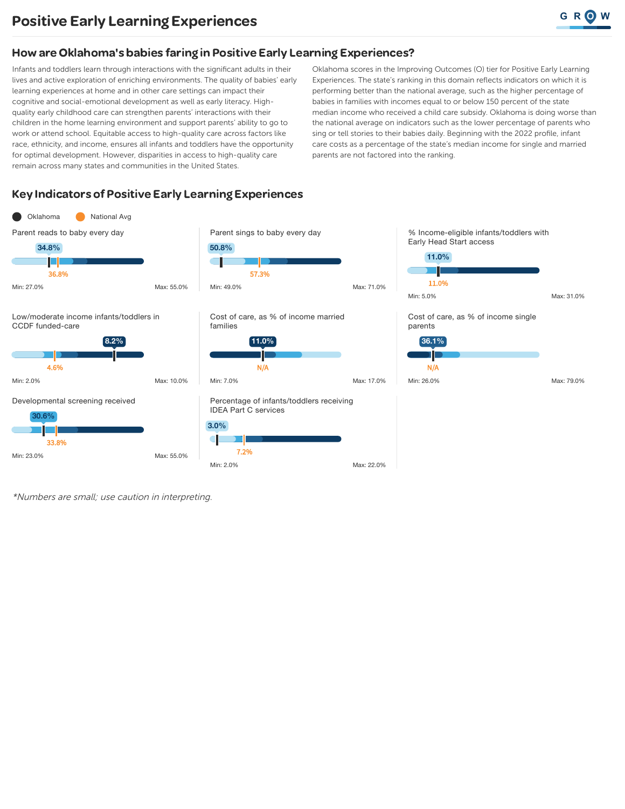Infants and toddlers learn through interactions with the significant adults in their lives and active exploration of enriching environments. The quality of babies' early learning experiences at home and in other care settings can impact their cognitive and social-emotional development as well as early literacy. Highquality early childhood care can strengthen parents' interactions with their children in the home learning environment and support parents' ability to go to work or attend school. Equitable access to high-quality care across factors like race, ethnicity, and income, ensures all infants and toddlers have the opportunity for optimal development. However, disparities in access to high-quality care remain across many states and communities in the United States.

Oklahoma scores in the Improving Outcomes (O) tier for Positive Early Learning Experiences. The state's ranking in this domain reflects indicators on which it is performing better than the national average, such as the higher percentage of babies in families with incomes equal to or below 150 percent of the state median income who received a child care subsidy. Oklahoma is doing worse than the national average on indicators such as the lower percentage of parents who sing or tell stories to their babies daily. Beginning with the 2022 profile, infant care costs as a percentage of the state's median income for single and married parents are not factored into the ranking.

### **Key Indicators of Positive Early Learning Experiences**



\*Numbers are small; use caution in interpreting.